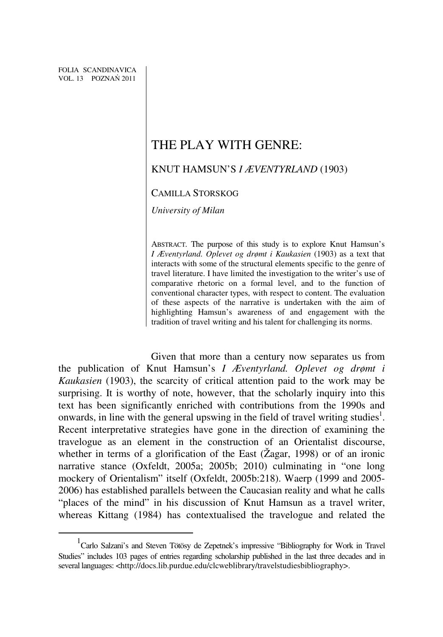$\overline{a}$ 

## THE PLAY WITH GENRE:

## KNUT HAMSUN'S *I ÆVENTYRLAND* (1903)

## CAMILLA STORSKOG

*University of Milan* 

ABSTRACT. The purpose of this study is to explore Knut Hamsun's *I Æventyrland. Oplevet og drømt i Kaukasien* (1903) as a text that interacts with some of the structural elements specific to the genre of travel literature. I have limited the investigation to the writer's use of comparative rhetoric on a formal level, and to the function of conventional character types, with respect to content. The evaluation of these aspects of the narrative is undertaken with the aim of highlighting Hamsun's awareness of and engagement with the tradition of travel writing and his talent for challenging its norms.

Given that more than a century now separates us from the publication of Knut Hamsun's *I Æventyrland. Oplevet og drømt i Kaukasien* (1903), the scarcity of critical attention paid to the work may be surprising. It is worthy of note, however, that the scholarly inquiry into this text has been significantly enriched with contributions from the 1990s and onwards, in line with the general upswing in the field of travel writing studies<sup>1</sup>. Recent interpretative strategies have gone in the direction of examining the travelogue as an element in the construction of an Orientalist discourse, whether in terms of a glorification of the East (Žagar, 1998) or of an ironic narrative stance (Oxfeldt, 2005a; 2005b; 2010) culminating in "one long mockery of Orientalism" itself (Oxfeldt, 2005b:218). Waerp (1999 and 2005- 2006) has established parallels between the Caucasian reality and what he calls "places of the mind" in his discussion of Knut Hamsun as a travel writer, whereas Kittang (1984) has contextualised the travelogue and related the

<sup>&</sup>lt;sup>1</sup> Carlo Salzani's and Steven Tötösy de Zepetnek's impressive "Bibliography for Work in Travel Studies" includes 103 pages of entries regarding scholarship published in the last three decades and in several languages: <http://docs.lib.purdue.edu/clcweblibrary/travelstudiesbibliography>.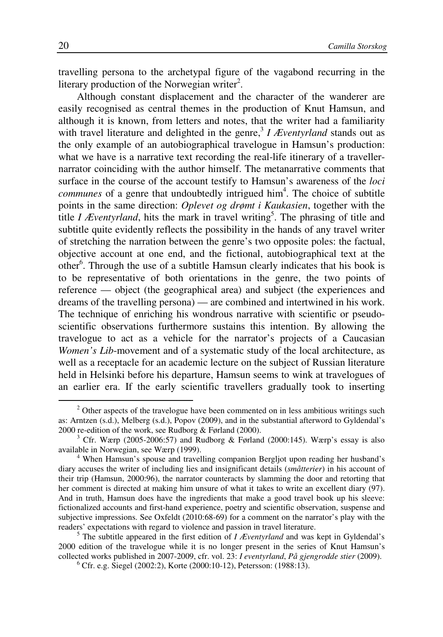travelling persona to the archetypal figure of the vagabond recurring in the literary production of the Norwegian writer<sup>2</sup>.

Although constant displacement and the character of the wanderer are easily recognised as central themes in the production of Knut Hamsun, and although it is known, from letters and notes, that the writer had a familiarity with travel literature and delighted in the genre,<sup>3</sup> *I Æventyrland* stands out as the only example of an autobiographical travelogue in Hamsun's production: what we have is a narrative text recording the real-life itinerary of a travellernarrator coinciding with the author himself. The metanarrative comments that surface in the course of the account testify to Hamsun's awareness of the *loci*  communes of a genre that undoubtedly intrigued him<sup>4</sup>. The choice of subtitle points in the same direction: *Oplevet og drømt i Kaukasien*, together with the title *I Æventyrland*, hits the mark in travel writing<sup>5</sup>. The phrasing of title and subtitle quite evidently reflects the possibility in the hands of any travel writer of stretching the narration between the genre's two opposite poles: the factual, objective account at one end, and the fictional, autobiographical text at the other<sup>6</sup>. Through the use of a subtitle Hamsun clearly indicates that his book is to be representative of both orientations in the genre, the two points of reference — object (the geographical area) and subject (the experiences and dreams of the travelling persona) — are combined and intertwined in his work. The technique of enriching his wondrous narrative with scientific or pseudoscientific observations furthermore sustains this intention. By allowing the travelogue to act as a vehicle for the narrator's projects of a Caucasian *Women's Lib*-movement and of a systematic study of the local architecture, as well as a receptacle for an academic lecture on the subject of Russian literature held in Helsinki before his departure, Hamsun seems to wink at travelogues of an earlier era. If the early scientific travellers gradually took to inserting

 $2$  Other aspects of the travelogue have been commented on in less ambitious writings such as: Arntzen (s.d.), Melberg (s.d.), Popov (2009), and in the substantial afterword to Gyldendal's 2000 re-edition of the work, see Rudborg & Førland (2000).

 $3$  Cfr. Wærp (2005-2006:57) and Rudborg & Førland (2000:145). Wærp's essay is also available in Norwegian, see Wærp (1999).

<sup>4</sup> When Hamsun's spouse and travelling companion Bergljot upon reading her husband's diary accuses the writer of including lies and insignificant details (*småtterier*) in his account of their trip (Hamsun, 2000:96), the narrator counteracts by slamming the door and retorting that her comment is directed at making him unsure of what it takes to write an excellent diary (97). And in truth, Hamsun does have the ingredients that make a good travel book up his sleeve: fictionalized accounts and first-hand experience, poetry and scientific observation, suspense and subjective impressions. See Oxfeldt (2010:68-69) for a comment on the narrator's play with the readers' expectations with regard to violence and passion in travel literature.

<sup>&</sup>lt;sup>5</sup> The subtitle appeared in the first edition of *I Æventyrland* and was kept in Gyldendal's 2000 edition of the travelogue while it is no longer present in the series of Knut Hamsun's collected works published in 2007-2009, cfr. vol. 23: *I eventyrland*, *På gjengrodde stier* (2009).

<sup>6</sup> Cfr. e.g. Siegel (2002:2), Korte (2000:10-12), Petersson: (1988:13).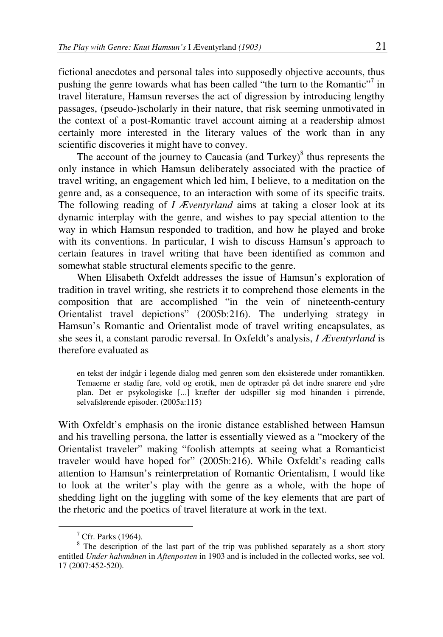fictional anecdotes and personal tales into supposedly objective accounts, thus pushing the genre towards what has been called "the turn to the Romantic"<sup>7</sup> in travel literature, Hamsun reverses the act of digression by introducing lengthy passages, (pseudo-)scholarly in their nature, that risk seeming unmotivated in the context of a post-Romantic travel account aiming at a readership almost certainly more interested in the literary values of the work than in any scientific discoveries it might have to convey.

The account of the journey to Caucasia (and Turkey) $\delta$  thus represents the only instance in which Hamsun deliberately associated with the practice of travel writing, an engagement which led him, I believe, to a meditation on the genre and, as a consequence, to an interaction with some of its specific traits. The following reading of *I Æventyrland* aims at taking a closer look at its dynamic interplay with the genre, and wishes to pay special attention to the way in which Hamsun responded to tradition, and how he played and broke with its conventions. In particular, I wish to discuss Hamsun's approach to certain features in travel writing that have been identified as common and somewhat stable structural elements specific to the genre.

When Elisabeth Oxfeldt addresses the issue of Hamsun's exploration of tradition in travel writing, she restricts it to comprehend those elements in the composition that are accomplished "in the vein of nineteenth-century Orientalist travel depictions" (2005b:216). The underlying strategy in Hamsun's Romantic and Orientalist mode of travel writing encapsulates, as she sees it, a constant parodic reversal. In Oxfeldt's analysis, *I Æventyrland* is therefore evaluated as

en tekst der indgår i legende dialog med genren som den eksisterede under romantikken. Temaerne er stadig fare, vold og erotik, men de optræder på det indre snarere end ydre plan. Det er psykologiske [...] kræfter der udspiller sig mod hinanden i pirrende, selvafslørende episoder. (2005a:115)

With Oxfeldt's emphasis on the ironic distance established between Hamsun and his travelling persona, the latter is essentially viewed as a "mockery of the Orientalist traveler" making "foolish attempts at seeing what a Romanticist traveler would have hoped for" (2005b:216). While Oxfeldt's reading calls attention to Hamsun's reinterpretation of Romantic Orientalism, I would like to look at the writer's play with the genre as a whole, with the hope of shedding light on the juggling with some of the key elements that are part of the rhetoric and the poetics of travel literature at work in the text.

<sup>7</sup> Cfr. Parks (1964).

 $8$  The description of the last part of the trip was published separately as a short story entitled *Under halvmånen* in *Aftenposten* in 1903 and is included in the collected works, see vol. 17 (2007:452-520).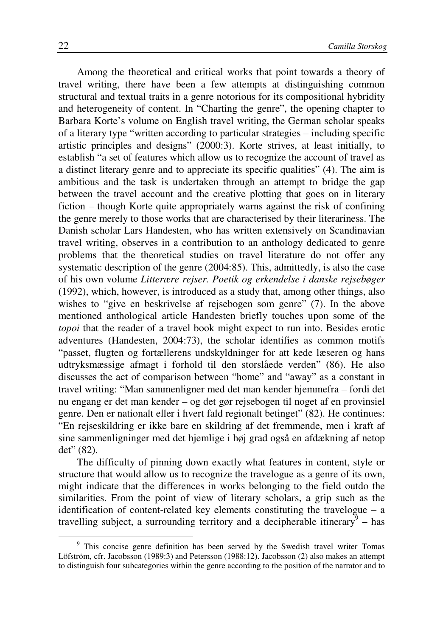Among the theoretical and critical works that point towards a theory of travel writing, there have been a few attempts at distinguishing common structural and textual traits in a genre notorious for its compositional hybridity and heterogeneity of content. In "Charting the genre", the opening chapter to Barbara Korte's volume on English travel writing, the German scholar speaks of a literary type "written according to particular strategies – including specific artistic principles and designs" (2000:3). Korte strives, at least initially, to establish "a set of features which allow us to recognize the account of travel as a distinct literary genre and to appreciate its specific qualities" (4). The aim is ambitious and the task is undertaken through an attempt to bridge the gap between the travel account and the creative plotting that goes on in literary fiction – though Korte quite appropriately warns against the risk of confining the genre merely to those works that are characterised by their literariness. The Danish scholar Lars Handesten, who has written extensively on Scandinavian travel writing, observes in a contribution to an anthology dedicated to genre problems that the theoretical studies on travel literature do not offer any systematic description of the genre (2004:85). This, admittedly, is also the case of his own volume *Litterære rejser. Poetik og erkendelse i danske rejsebøger* (1992), which, however, is introduced as a study that, among other things, also wishes to "give en beskrivelse af rejsebogen som genre" (7). In the above mentioned anthological article Handesten briefly touches upon some of the *topoi* that the reader of a travel book might expect to run into. Besides erotic adventures (Handesten, 2004:73), the scholar identifies as common motifs "passet, flugten og fortællerens undskyldninger for att kede læseren og hans udtryksmæssige afmagt i forhold til den storslåede verden" (86). He also discusses the act of comparison between "home" and "away" as a constant in travel writing: "Man sammenligner med det man kender hjemmefra – fordi det nu engang er det man kender – og det gør rejsebogen til noget af en provinsiel genre. Den er nationalt eller i hvert fald regionalt betinget" (82). He continues: "En rejseskildring er ikke bare en skildring af det fremmende, men i kraft af sine sammenligninger med det hjemlige i høj grad også en afdækning af netop det" (82).

The difficulty of pinning down exactly what features in content, style or structure that would allow us to recognize the travelogue as a genre of its own, might indicate that the differences in works belonging to the field outdo the similarities. From the point of view of literary scholars, a grip such as the identification of content-related key elements constituting the travelogue – a travelling subject, a surrounding territory and a decipherable itinerary  $\frac{1}{9}$  – has

<sup>&</sup>lt;sup>9</sup> This concise genre definition has been served by the Swedish travel writer Tomas Löfström, cfr. Jacobsson (1989:3) and Petersson (1988:12). Jacobsson (2) also makes an attempt to distinguish four subcategories within the genre according to the position of the narrator and to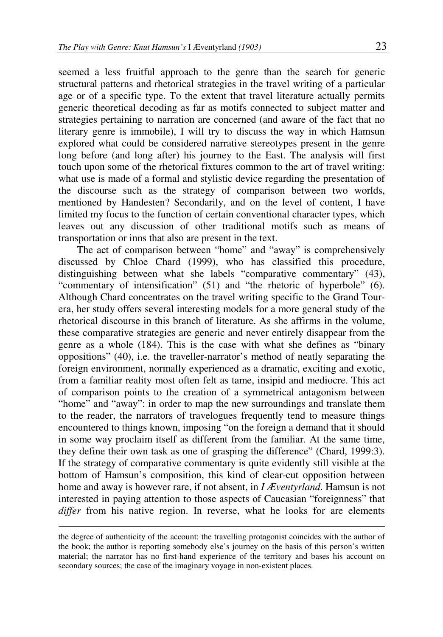seemed a less fruitful approach to the genre than the search for generic structural patterns and rhetorical strategies in the travel writing of a particular age or of a specific type. To the extent that travel literature actually permits generic theoretical decoding as far as motifs connected to subject matter and strategies pertaining to narration are concerned (and aware of the fact that no literary genre is immobile), I will try to discuss the way in which Hamsun explored what could be considered narrative stereotypes present in the genre long before (and long after) his journey to the East. The analysis will first touch upon some of the rhetorical fixtures common to the art of travel writing: what use is made of a formal and stylistic device regarding the presentation of the discourse such as the strategy of comparison between two worlds, mentioned by Handesten? Secondarily, and on the level of content, I have limited my focus to the function of certain conventional character types, which leaves out any discussion of other traditional motifs such as means of transportation or inns that also are present in the text.

The act of comparison between "home" and "away" is comprehensively discussed by Chloe Chard (1999), who has classified this procedure, distinguishing between what she labels "comparative commentary" (43), "commentary of intensification" (51) and "the rhetoric of hyperbole" (6). Although Chard concentrates on the travel writing specific to the Grand Tourera, her study offers several interesting models for a more general study of the rhetorical discourse in this branch of literature. As she affirms in the volume, these comparative strategies are generic and never entirely disappear from the genre as a whole (184). This is the case with what she defines as "binary oppositions" (40), i.e. the traveller-narrator's method of neatly separating the foreign environment, normally experienced as a dramatic, exciting and exotic, from a familiar reality most often felt as tame, insipid and mediocre. This act of comparison points to the creation of a symmetrical antagonism between "home" and "away": in order to map the new surroundings and translate them to the reader, the narrators of travelogues frequently tend to measure things encountered to things known, imposing "on the foreign a demand that it should in some way proclaim itself as different from the familiar. At the same time, they define their own task as one of grasping the difference" (Chard, 1999:3). If the strategy of comparative commentary is quite evidently still visible at the bottom of Hamsun's composition, this kind of clear-cut opposition between home and away is however rare, if not absent, in *I Æventyrland*. Hamsun is not interested in paying attention to those aspects of Caucasian "foreignness" that *differ* from his native region. In reverse, what he looks for are elements

the degree of authenticity of the account: the travelling protagonist coincides with the author of the book; the author is reporting somebody else's journey on the basis of this person's written material; the narrator has no first-hand experience of the territory and bases his account on secondary sources; the case of the imaginary voyage in non-existent places.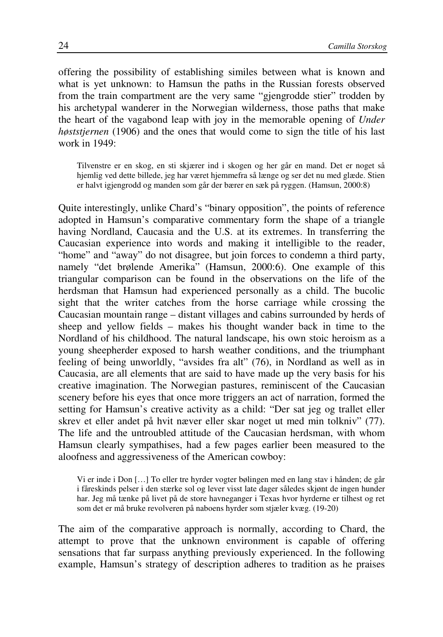offering the possibility of establishing similes between what is known and what is yet unknown: to Hamsun the paths in the Russian forests observed from the train compartment are the very same "gjengrodde stier" trodden by his archetypal wanderer in the Norwegian wilderness, those paths that make the heart of the vagabond leap with joy in the memorable opening of *Under høststjernen* (1906) and the ones that would come to sign the title of his last work in 1949:

Tilvenstre er en skog, en sti skjærer ind i skogen og her går en mand. Det er noget så hjemlig ved dette billede, jeg har været hjemmefra så længe og ser det nu med glæde. Stien er halvt igjengrodd og manden som går der bærer en sæk på ryggen. (Hamsun, 2000:8)

Quite interestingly, unlike Chard's "binary opposition", the points of reference adopted in Hamsun's comparative commentary form the shape of a triangle having Nordland, Caucasia and the U.S. at its extremes. In transferring the Caucasian experience into words and making it intelligible to the reader, "home" and "away" do not disagree, but join forces to condemn a third party, namely "det brølende Amerika" (Hamsun, 2000:6). One example of this triangular comparison can be found in the observations on the life of the herdsman that Hamsun had experienced personally as a child. The bucolic sight that the writer catches from the horse carriage while crossing the Caucasian mountain range – distant villages and cabins surrounded by herds of sheep and yellow fields – makes his thought wander back in time to the Nordland of his childhood. The natural landscape, his own stoic heroism as a young sheepherder exposed to harsh weather conditions, and the triumphant feeling of being unworldly, "avsides fra alt" (76), in Nordland as well as in Caucasia, are all elements that are said to have made up the very basis for his creative imagination. The Norwegian pastures, reminiscent of the Caucasian scenery before his eyes that once more triggers an act of narration, formed the setting for Hamsun's creative activity as a child: "Der sat jeg og trallet eller skrev et eller andet på hvit næver eller skar noget ut med min tolkniv" (77). The life and the untroubled attitude of the Caucasian herdsman, with whom Hamsun clearly sympathises, had a few pages earlier been measured to the aloofness and aggressiveness of the American cowboy:

Vi er inde i Don […] To eller tre hyrder vogter bølingen med en lang stav i hånden; de går i fåreskinds pelser i den stærke sol og lever visst late dager således skjønt de ingen hunder har. Jeg må tænke på livet på de store havneganger i Texas hvor hyrderne er tilhest og ret som det er må bruke revolveren på naboens hyrder som stjæler kvæg. (19-20)

The aim of the comparative approach is normally, according to Chard, the attempt to prove that the unknown environment is capable of offering sensations that far surpass anything previously experienced. In the following example, Hamsun's strategy of description adheres to tradition as he praises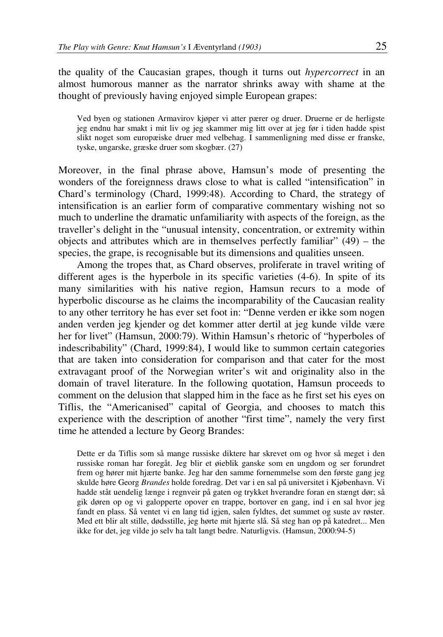the quality of the Caucasian grapes, though it turns out *hypercorrect* in an almost humorous manner as the narrator shrinks away with shame at the thought of previously having enjoyed simple European grapes:

Ved byen og stationen Armavirov kjøper vi atter pærer og druer. Druerne er de herligste jeg endnu har smakt i mit liv og jeg skammer mig litt over at jeg før i tiden hadde spist slikt noget som europæiske druer med velbehag. I sammenligning med disse er franske, tyske, ungarske, græske druer som skogbær. (27)

Moreover, in the final phrase above, Hamsun's mode of presenting the wonders of the foreignness draws close to what is called "intensification" in Chard's terminology (Chard, 1999:48). According to Chard, the strategy of intensification is an earlier form of comparative commentary wishing not so much to underline the dramatic unfamiliarity with aspects of the foreign, as the traveller's delight in the "unusual intensity, concentration, or extremity within objects and attributes which are in themselves perfectly familiar"  $(49)$  – the species, the grape, is recognisable but its dimensions and qualities unseen.

Among the tropes that, as Chard observes, proliferate in travel writing of different ages is the hyperbole in its specific varieties (4-6). In spite of its many similarities with his native region, Hamsun recurs to a mode of hyperbolic discourse as he claims the incomparability of the Caucasian reality to any other territory he has ever set foot in: "Denne verden er ikke som nogen anden verden jeg kjender og det kommer atter dertil at jeg kunde vilde være her for livet" (Hamsun, 2000:79). Within Hamsun's rhetoric of "hyperboles of indescribability" (Chard, 1999:84), I would like to summon certain categories that are taken into consideration for comparison and that cater for the most extravagant proof of the Norwegian writer's wit and originality also in the domain of travel literature. In the following quotation, Hamsun proceeds to comment on the delusion that slapped him in the face as he first set his eyes on Tiflis, the "Americanised" capital of Georgia, and chooses to match this experience with the description of another "first time", namely the very first time he attended a lecture by Georg Brandes:

Dette er da Tiflis som så mange russiske diktere har skrevet om og hvor så meget i den russiske roman har foregåt. Jeg blir et øieblik ganske som en ungdom og ser forundret frem og hører mit hjærte banke. Jeg har den samme fornemmelse som den første gang jeg skulde høre Georg *Brandes* holde foredrag. Det var i en sal på universitet i Kjøbenhavn. Vi hadde ståt uendelig længe i regnveir på gaten og trykket hverandre foran en stængt dør; så gik døren op og vi galopperte opover en trappe, bortover en gang, ind i en sal hvor jeg fandt en plass. Så ventet vi en lang tid igjen, salen fyldtes, det summet og suste av røster. Med ett blir alt stille, dødsstille, jeg hørte mit hjærte slå. Så steg han op på katedret... Men ikke for det, jeg vilde jo selv ha talt langt bedre. Naturligvis. (Hamsun, 2000:94-5)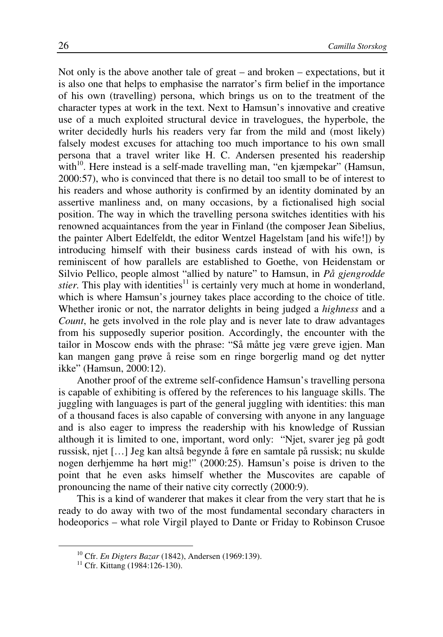Not only is the above another tale of great – and broken – expectations, but it is also one that helps to emphasise the narrator's firm belief in the importance of his own (travelling) persona, which brings us on to the treatment of the character types at work in the text. Next to Hamsun's innovative and creative use of a much exploited structural device in travelogues, the hyperbole, the writer decidedly hurls his readers very far from the mild and (most likely) falsely modest excuses for attaching too much importance to his own small persona that a travel writer like H. C. Andersen presented his readership with<sup>10</sup>. Here instead is a self-made travelling man, "en kjæmpekar" (Hamsun, 2000:57), who is convinced that there is no detail too small to be of interest to his readers and whose authority is confirmed by an identity dominated by an assertive manliness and, on many occasions, by a fictionalised high social position. The way in which the travelling persona switches identities with his renowned acquaintances from the year in Finland (the composer Jean Sibelius, the painter Albert Edelfeldt, the editor Wentzel Hagelstam [and his wife!]) by introducing himself with their business cards instead of with his own, is reminiscent of how parallels are established to Goethe, von Heidenstam or Silvio Pellico, people almost "allied by nature" to Hamsun, in *På gjengrodde stier*. This play with identities<sup>11</sup> is certainly very much at home in wonderland, which is where Hamsun's journey takes place according to the choice of title. Whether ironic or not, the narrator delights in being judged a *highness* and a *Count*, he gets involved in the role play and is never late to draw advantages from his supposedly superior position. Accordingly, the encounter with the tailor in Moscow ends with the phrase: "Så måtte jeg være greve igjen. Man kan mangen gang prøve å reise som en ringe borgerlig mand og det nytter ikke" (Hamsun, 2000:12).

Another proof of the extreme self-confidence Hamsun's travelling persona is capable of exhibiting is offered by the references to his language skills. The juggling with languages is part of the general juggling with identities: this man of a thousand faces is also capable of conversing with anyone in any language and is also eager to impress the readership with his knowledge of Russian although it is limited to one, important, word only: "Njet, svarer jeg på godt russisk, njet […] Jeg kan altså begynde å føre en samtale på russisk; nu skulde nogen derhjemme ha hørt mig!" (2000:25). Hamsun's poise is driven to the point that he even asks himself whether the Muscovites are capable of pronouncing the name of their native city correctly (2000:9).

This is a kind of wanderer that makes it clear from the very start that he is ready to do away with two of the most fundamental secondary characters in hodeoporics – what role Virgil played to Dante or Friday to Robinson Crusoe

<sup>10</sup> Cfr. *En Digters Bazar* (1842), Andersen (1969:139).

<sup>&</sup>lt;sup>11</sup> Cfr. Kittang (1984:126-130).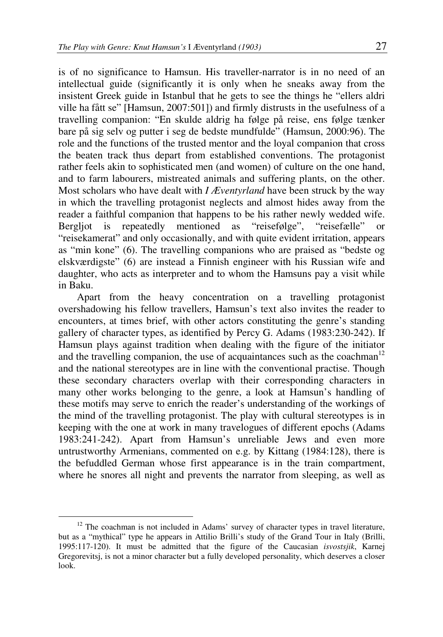is of no significance to Hamsun. His traveller-narrator is in no need of an intellectual guide (significantly it is only when he sneaks away from the insistent Greek guide in Istanbul that he gets to see the things he "ellers aldri ville ha fått se" [Hamsun, 2007:501]) and firmly distrusts in the usefulness of a travelling companion: "En skulde aldrig ha følge på reise, ens følge tænker bare på sig selv og putter i seg de bedste mundfulde" (Hamsun, 2000:96). The role and the functions of the trusted mentor and the loyal companion that cross the beaten track thus depart from established conventions. The protagonist rather feels akin to sophisticated men (and women) of culture on the one hand, and to farm labourers, mistreated animals and suffering plants, on the other. Most scholars who have dealt with *I Æventyrland* have been struck by the way in which the travelling protagonist neglects and almost hides away from the reader a faithful companion that happens to be his rather newly wedded wife. Bergljot is repeatedly mentioned as "reisefølge", "reisefælle" or "reisekamerat" and only occasionally, and with quite evident irritation, appears as "min kone" (6). The travelling companions who are praised as "bedste og elskværdigste" (6) are instead a Finnish engineer with his Russian wife and daughter, who acts as interpreter and to whom the Hamsuns pay a visit while in Baku.

Apart from the heavy concentration on a travelling protagonist overshadowing his fellow travellers, Hamsun's text also invites the reader to encounters, at times brief, with other actors constituting the genre's standing gallery of character types, as identified by Percy G. Adams (1983:230-242). If Hamsun plays against tradition when dealing with the figure of the initiator and the travelling companion, the use of acquaintances such as the coachman<sup>12</sup> and the national stereotypes are in line with the conventional practise. Though these secondary characters overlap with their corresponding characters in many other works belonging to the genre, a look at Hamsun's handling of these motifs may serve to enrich the reader's understanding of the workings of the mind of the travelling protagonist. The play with cultural stereotypes is in keeping with the one at work in many travelogues of different epochs (Adams 1983:241-242). Apart from Hamsun's unreliable Jews and even more untrustworthy Armenians, commented on e.g. by Kittang (1984:128), there is the befuddled German whose first appearance is in the train compartment, where he snores all night and prevents the narrator from sleeping, as well as

<sup>&</sup>lt;sup>12</sup> The coachman is not included in Adams' survey of character types in travel literature, but as a "mythical" type he appears in Attilio Brilli's study of the Grand Tour in Italy (Brilli, 1995:117-120). It must be admitted that the figure of the Caucasian *isvostsjik*, Karnej Gregorevitsj, is not a minor character but a fully developed personality, which deserves a closer look.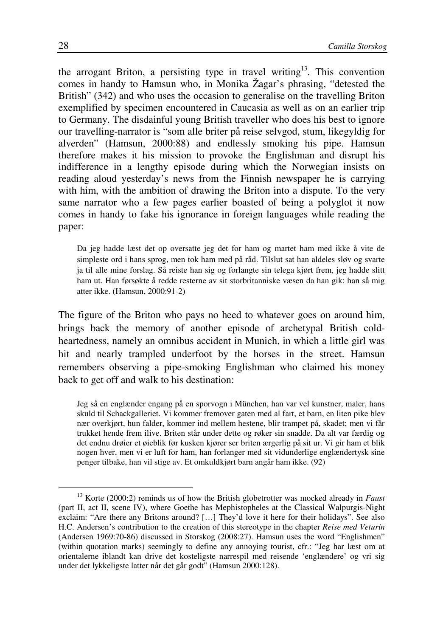the arrogant Briton, a persisting type in travel writing<sup>13</sup>. This convention comes in handy to Hamsun who, in Monika Žagar's phrasing, "detested the British" (342) and who uses the occasion to generalise on the travelling Briton exemplified by specimen encountered in Caucasia as well as on an earlier trip to Germany. The disdainful young British traveller who does his best to ignore our travelling-narrator is "som alle briter på reise selvgod, stum, likegyldig for alverden" (Hamsun, 2000:88) and endlessly smoking his pipe. Hamsun therefore makes it his mission to provoke the Englishman and disrupt his indifference in a lengthy episode during which the Norwegian insists on reading aloud yesterday's news from the Finnish newspaper he is carrying with him, with the ambition of drawing the Briton into a dispute. To the very same narrator who a few pages earlier boasted of being a polyglot it now comes in handy to fake his ignorance in foreign languages while reading the paper:

Da jeg hadde læst det op oversatte jeg det for ham og martet ham med ikke å vite de simpleste ord i hans sprog, men tok ham med på råd. Tilslut sat han aldeles sløv og svarte ja til alle mine forslag. Så reiste han sig og forlangte sin telega kjørt frem, jeg hadde slitt ham ut. Han førsøkte å redde resterne av sit storbritanniske væsen da han gik: han så mig atter ikke. (Hamsun, 2000:91-2)

The figure of the Briton who pays no heed to whatever goes on around him, brings back the memory of another episode of archetypal British coldheartedness, namely an omnibus accident in Munich, in which a little girl was hit and nearly trampled underfoot by the horses in the street. Hamsun remembers observing a pipe-smoking Englishman who claimed his money back to get off and walk to his destination:

Jeg så en englænder engang på en sporvogn i München, han var vel kunstner, maler, hans skuld til Schackgalleriet. Vi kommer fremover gaten med al fart, et barn, en liten pike blev nær overkjørt, hun falder, kommer ind mellem hestene, blir trampet på, skadet; men vi får trukket hende frem ilive. Briten står under dette og røker sin snadde. Da alt var færdig og det endnu drøier et øieblik før kusken kjører ser briten ærgerlig på sit ur. Vi gir ham et blik nogen hver, men vi er luft for ham, han forlanger med sit vidunderlige englændertysk sine penger tilbake, han vil stige av. Et omkuldkjørt barn angår ham ikke. (92)

<sup>&</sup>lt;sup>13</sup> Korte (2000:2) reminds us of how the British globetrotter was mocked already in *Faust* (part II, act II, scene IV), where Goethe has Mephistopheles at the Classical Walpurgis-Night exclaim: "Are there any Britons around? […] They'd love it here for their holidays". See also H.C. Andersen's contribution to the creation of this stereotype in the chapter *Reise med Veturin* (Andersen 1969:70-86) discussed in Storskog (2008:27). Hamsun uses the word "Englishmen" (within quotation marks) seemingly to define any annoying tourist, cfr.: "Jeg har læst om at orientalerne iblandt kan drive det kosteligste narrespil med reisende 'englændere' og vri sig under det lykkeligste latter når det går godt" (Hamsun 2000:128).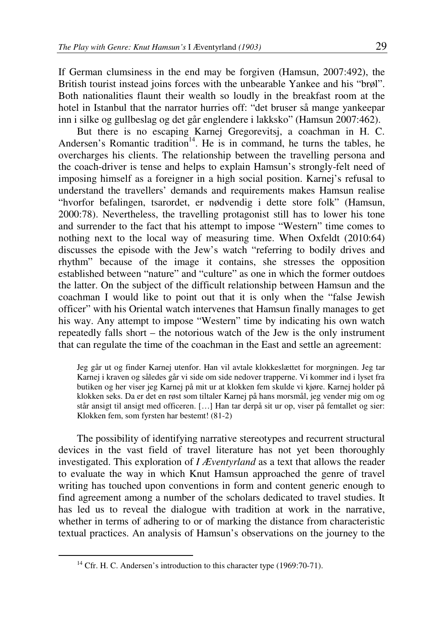If German clumsiness in the end may be forgiven (Hamsun, 2007:492), the British tourist instead joins forces with the unbearable Yankee and his "brøl". Both nationalities flaunt their wealth so loudly in the breakfast room at the hotel in Istanbul that the narrator hurries off: "det bruser så mange yankeepar inn i silke og gullbeslag og det går englendere i lakksko" (Hamsun 2007:462).

But there is no escaping Karnej Gregorevitsj, a coachman in H. C. Andersen's Romantic tradition<sup>14</sup>. He is in command, he turns the tables, he overcharges his clients. The relationship between the travelling persona and the coach-driver is tense and helps to explain Hamsun's strongly-felt need of imposing himself as a foreigner in a high social position. Karnej's refusal to understand the travellers' demands and requirements makes Hamsun realise "hvorfor befalingen, tsarordet, er nødvendig i dette store folk" (Hamsun, 2000:78). Nevertheless, the travelling protagonist still has to lower his tone and surrender to the fact that his attempt to impose "Western" time comes to nothing next to the local way of measuring time. When Oxfeldt (2010:64) discusses the episode with the Jew's watch "referring to bodily drives and rhythm" because of the image it contains, she stresses the opposition established between "nature" and "culture" as one in which the former outdoes the latter. On the subject of the difficult relationship between Hamsun and the coachman I would like to point out that it is only when the "false Jewish officer" with his Oriental watch intervenes that Hamsun finally manages to get his way. Any attempt to impose "Western" time by indicating his own watch repeatedly falls short – the notorious watch of the Jew is the only instrument that can regulate the time of the coachman in the East and settle an agreement:

Jeg går ut og finder Karnej utenfor. Han vil avtale klokkeslættet for morgningen. Jeg tar Karnej i kraven og således går vi side om side nedover trapperne. Vi kommer ind i lyset fra butiken og her viser jeg Karnej på mit ur at klokken fem skulde vi kjøre. Karnej holder på klokken seks. Da er det en røst som tiltaler Karnej på hans morsmål, jeg vender mig om og står ansigt til ansigt med officeren. […] Han tar derpå sit ur op, viser på femtallet og sier: Klokken fem, som fyrsten har bestemt! (81-2)

The possibility of identifying narrative stereotypes and recurrent structural devices in the vast field of travel literature has not yet been thoroughly investigated. This exploration of *I Æventyrland* as a text that allows the reader to evaluate the way in which Knut Hamsun approached the genre of travel writing has touched upon conventions in form and content generic enough to find agreement among a number of the scholars dedicated to travel studies. It has led us to reveal the dialogue with tradition at work in the narrative, whether in terms of adhering to or of marking the distance from characteristic textual practices. An analysis of Hamsun's observations on the journey to the

<sup>&</sup>lt;sup>14</sup> Cfr. H. C. Andersen's introduction to this character type (1969:70-71).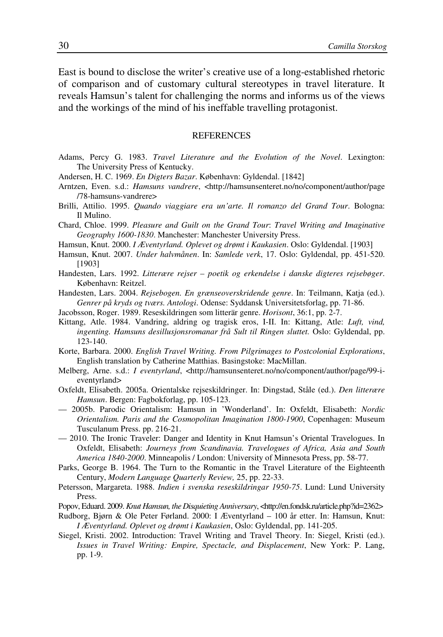East is bound to disclose the writer's creative use of a long-established rhetoric of comparison and of customary cultural stereotypes in travel literature. It reveals Hamsun's talent for challenging the norms and informs us of the views and the workings of the mind of his ineffable travelling protagonist.

## REFERENCES

- Adams, Percy G. 1983. *Travel Literature and the Evolution of the Novel*. Lexington: The University Press of Kentucky.
- Andersen, H. C. 1969. *En Digters Bazar*. København: Gyldendal. [1842]
- Arntzen, Even. s.d.: *Hamsuns vandrere*, <http://hamsunsenteret.no/no/component/author/page /78-hamsuns-vandrere>
- Brilli, Attilio. 1995. *Quando viaggiare era un'arte. Il romanzo del Grand Tour*. Bologna: Il Mulino.
- Chard, Chloe. 1999. *Pleasure and Guilt on the Grand Tour*: *Travel Writing and Imaginative Geography 1600-1830*. Manchester: Manchester University Press.
- Hamsun, Knut. 2000. *I Æventyrland. Oplevet og drømt i Kaukasien*. Oslo: Gyldendal. [1903]
- Hamsun, Knut. 2007. *Under halvmånen*. In: *Samlede verk*, 17. Oslo: Gyldendal, pp. 451-520. [1903]
- Handesten, Lars. 1992. *Litterære rejser poetik og erkendelse i danske digteres rejsebøger*. København: Reitzel.
- Handesten, Lars. 2004. *Rejsebogen. En grænseoverskridende genre*. In: Teilmann, Katja (ed.). *Genrer på kryds og tværs. Antologi*. Odense: Syddansk Universitetsforlag, pp. 71-86.
- Jacobsson, Roger. 1989. Reseskildringen som litterär genre. *Horisont*, 36:1, pp. 2-7.
- Kittang, Atle. 1984. Vandring, aldring og tragisk eros, I-II. In: Kittang, Atle: *Luft, vind, ingenting. Hamsuns desillusjonsromanar frå Sult til Ringen sluttet.* Oslo: Gyldendal, pp. 123-140.
- Korte, Barbara. 2000. *English Travel Writing. From Pilgrimages to Postcolonial Explorations*, English translation by Catherine Matthias. Basingstoke: MacMillan.
- Melberg, Arne. s.d.: *I eventyrland*, <http://hamsunsenteret.no/no/component/author/page/99-ieventyrland>
- Oxfeldt, Elisabeth. 2005a. Orientalske rejseskildringer. In: Dingstad, Ståle (ed.). *Den litterære Hamsun*. Bergen: Fagbokforlag, pp. 105-123.
- 2005b. Parodic Orientalism: Hamsun in 'Wonderland'. In: Oxfeldt, Elisabeth: *Nordic Orientalism. Paris and the Cosmopolitan Imagination 1800-1900*, Copenhagen: Museum Tusculanum Press. pp. 216-21.
- 2010. The Ironic Traveler: Danger and Identity in Knut Hamsun's Oriental Travelogues. In Oxfeldt, Elisabeth: *Journeys from Scandinavia. Travelogues of Africa, Asia and South America 1840-2000*. Minneapolis / London: University of Minnesota Press, pp. 58-77.
- Parks, George B. 1964. The Turn to the Romantic in the Travel Literature of the Eighteenth Century, *Modern Language Quarterly Review,* 25, pp. 22-33.
- Petersson, Margareta. 1988. *Indien i svenska reseskildringar 1950-75*. Lund: Lund University Press.
- Popov, Eduard. 2009. *Knut Hamsun, the Disquieting Anniversary*, <http://en.fondsk.ru/article.php?id=2362>
- Rudborg, Bjørn & Ole Peter Førland. 2000: I Æventyrland 100 år etter. In: Hamsun, Knut: *I Æventyrland. Oplevet og drømt i Kaukasien*, Oslo: Gyldendal, pp. 141-205.
- Siegel, Kristi. 2002. Introduction: Travel Writing and Travel Theory. In: Siegel, Kristi (ed.). *Issues in Travel Writing: Empire, Spectacle, and Displacement*, New York: P. Lang, pp. 1-9.